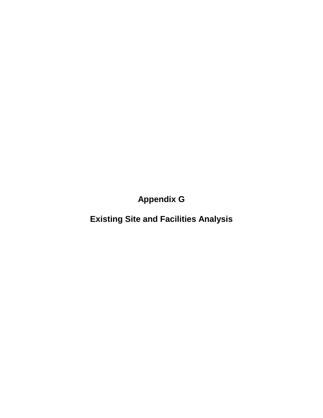**Appendix G**

**Existing Site and Facilities Analysis**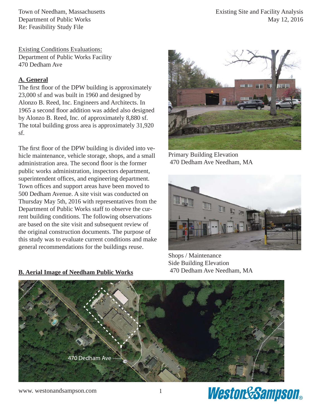Existing Site and Facility Analysis May 12, 2016

Existing Conditions Evaluations: Department of Public Works Facility 470 Dedham Ave

# **A. General**

The first floor of the DPW building is approximately 23,000 sf and was built in 1960 and designed by Alonzo B. Reed, Inc. Engineers and Architects. In 1965 a second floor addition was added also designed by Alonzo B. Reed, Inc. of approximately 8,880 sf. The total building gross area is approximately 31,920 sf.

The first floor of the DPW building is divided into vehicle maintenance, vehicle storage, shops, and a small administration area. The second floor is the former public works administration, inspectors department, superintendent offices, and engineering department. Town offices and support areas have been moved to 500 Dedham Avenue. A site visit was conducted on Thursday May 5th, 2016 with representatives from the Department of Public Works staff to observe the current building conditions. The following observations are based on the site visit and subsequent review of the original construction documents. The purpose of this study was to evaluate current conditions and make general recommendations for the buildings reuse.

#### **B. Aerial Image of Needham Public Works**



Primary Building Elevation 470 Dedham Ave Needham, MA



Shops / Maintenance Side Building Elevation 470 Dedham Ave Needham, MA



www. westonandsampson.com

# **Weston&Sampson®**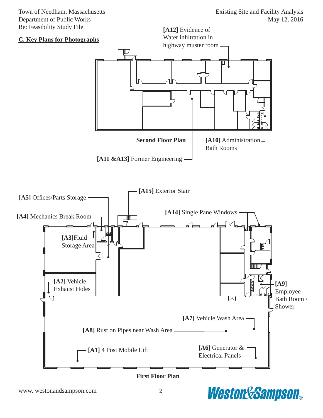

**First Floor Plan**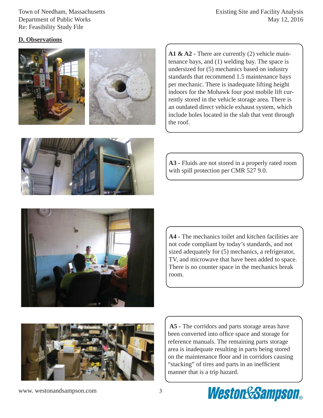# **D. Observations**



A1 & A2 - There are currently (2) vehicle maintenance bays, and (1) welding bay. The space is undersized for (5) mechanics based on industry standards that recommend 1.5 maintenance bays per mechanic. There is inadequate lifting height indoors for the Mohawk four post mobile lift currently stored in the vehicle storage area. There is an outdated direct vehicle exhaust system, which include holes located in the slab that vent through the roof.



**A3 -** Fluids are not stored in a properly rated room with spill protection per CMR 527 9.0.



**A4 -** The mechanics toilet and kitchen facilities are not code compliant by today's standards, and not sized adequately for (5) mechanics, a refrigerator, TV, and microwave that have been added to space. There is no counter space in the mechanics break room.



**A5 -** The corridors and parts storage areas have been converted into office space and storage for reference manuals. The remaining parts storage area is inadequate resulting in parts being stored on the maintenance floor and in corridors causing "stacking" of tires and parts in an inefficient manner that is a trip hazard.

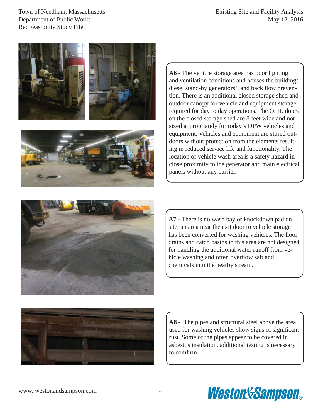Existing Site and Facility Analysis May 12, 2016

Town of Needham, Massachusetts Department of Public Works Re: Feasibility Study File





**A6 -** The vehicle storage area has poor lighting and ventilation conditions and houses the buildings diesel stand-by generators', and back flow prevention. There is an additional closed storage shed and outdoor canopy for vehicle and equipment storage required for day to day operations. The O. H. doors on the closed storage shed are 8 feet wide and not sized appropriately for today's DPW vehicles and equipment. Vehicles and equipment are stored outdoors without protection from the elements resulting in reduced service life and functionality. The location of vehicle wash area is a safety hazard in close proximity to the generator and main electrical panels without any barrier.



**A7 -** There is no wash bay or knockdown pad on site, an area near the exit door to vehicle storage has been converted for washing vehicles. The floor drains and catch basins in this area are not designed for handling the additional water runoff from vehicle washing and often overflow salt and chemicals into the nearby stream.



**A8 -** The pipes and structural steel above the area used for washing vehicles show signs of significant rust. Some of the pipes appear to be covered in asbestos insulation, additional testing is necessary to comfirm.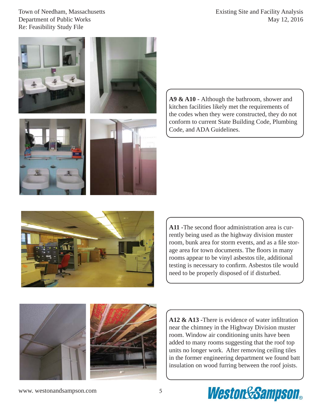Existing Site and Facility Analysis May 12, 2016

Town of Needham, Massachusetts Department of Public Works Re: Feasibility Study File



**A9 & A10 -** Although the bathroom, shower and kitchen facilities likely met the requirements of the codes when they were constructed, they do not conform to current State Building Code, Plumbing Code, and ADA Guidelines.



A11 -The second floor administration area is currently being used as the highway division muster room, bunk area for storm events, and as a file storage area for town documents. The floors in many rooms appear to be vinyl asbestos tile, additional testing is necessary to confirm. Asbestos tile would need to be properly disposed of if disturbed.



A12 & A13 -There is evidence of water infiltration near the chimney in the Highway Division muster room. Window air conditioning units have been added to many rooms suggesting that the roof top units no longer work. After removing ceiling tiles in the former engineering department we found batt insulation on wood furring between the roof joists.

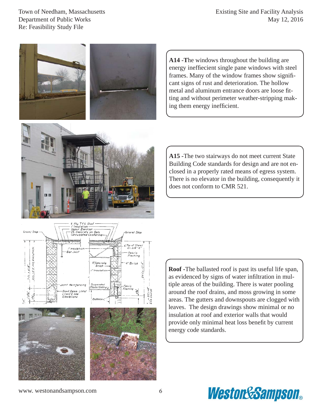Existing Site and Facility Analysis May 12, 2016



**A14 -T**he windows throughout the building are energy ineffiecient single pane windows with steel frames. Many of the window frames show significant signs of rust and deterioration. The hollow metal and aluminum entrance doors are loose fitting and without perimeter weather-stripping making them energy inefficient.



**A15 -**The two stairways do not meet current State Building Code standards for design and are not enclosed in a properly rated means of egress system. There is no elevator in the building, consequently it does not conform to CMR 521.







**Roof -**The ballasted roof is past its useful life span, as evidenced by signs of water infiltration in multiple areas of the building. There is water pooling around the roof drains, and moss growing in some areas. The gutters and downspouts are clogged with leaves. The design drawings show minimal or no insulation at roof and exterior walls that would provide only minimal heat loss benefit by current energy code standards.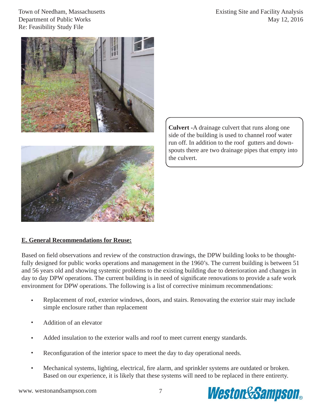



**Culvert -**A drainage culvert that runs along one side of the building is used to channel roof water run off. In addition to the roof gutters and downspouts there are two drainage pipes that empty into the culvert.

## **E. General Recommendations for Reuse:**

Based on field observations and review of the construction drawings, the DPW building looks to be thoughtfully designed for public works operations and management in the 1960's. The current building is between 51 and 56 years old and showing systemic problems to the existing building due to deterioration and changes in day to day DPW operations. The current building is in need of significate renovations to provide a safe work environment for DPW operations. The following is a list of corrective minimum recommendations:

- Replacement of roof, exterior windows, doors, and stairs. Renovating the exterior stair may include simple enclosure rather than replacement •
- Addition of an elevator •
- Added insulation to the exterior walls and roof to meet current energy standards. •
- Reconfiguration of the interior space to meet the day to day operational needs. •
- Mechanical systems, lighting, electrical, fire alarm, and sprinkler systems are outdated or broken. Based on our experience, it is likely that these systems will need to be replaced in there entirerty. •

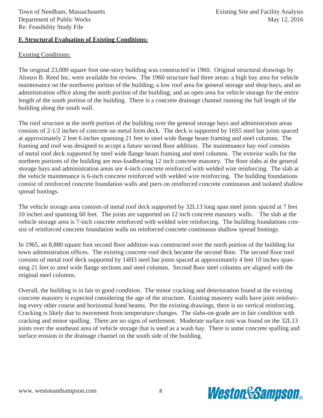# **F. Structural Evaluation of Existing Conditions:**

## Existing Conditions:

The original 23,000 square foot one-story building was constructed in 1960. Original structural drawings by Alonzo B. Reed Inc. were available for review. The 1960 structure had three areas: a high bay area for vehicle maintenance on the northwest portion of the building; a low roof area for general storage and shop bays, and an administration office along the north portion of the building; and an open area for vehicle storage for the entire length of the south portion of the building. There is a concrete drainage channel running the full length of the building along the south wall.

The roof structure at the north portion of the building over the general storage bays and administration areas consists of 2-1/2 inches of concrete on metal form deck. The deck is supported by 16S5 steel bar joists spaced at approximately 2 feet 6 inches spanning 21 feet to steel wide flange beam framing and steel columns. The framing and roof was designed to accept a future second floor addition. The maintenance bay roof consists of metal roof deck supported by steel wide flange beam framing and steel columns. The exterior walls for the northern portions of the building are non-loadbearing 12 inch concrete masonry. The floor slabs at the general storage bays and administration areas are 4-inch concrete reinforced with welded wire reinforcing. The slab at the vehicle maintenance is 6-inch concrete reinforced with welded wire reinforcing. The building foundations consist of reinforced concrete foundation walls and piers on reinforced concrete continuous and isolated shallow spread footings.

The vehicle storage area consists of metal roof deck supported by 32L13 long span steel joists spaced at 7 feet 10 inches and spanning 60 feet. The joists are supported on 12 inch concrete masonry walls. The slab at the vehicle storage area is 7-inch concrete reinforced with welded wire reinforcing. The building foundations consist of reinforced concrete foundation walls on reinforced concrete continuous shallow spread footings.

In 1965, an 8,880 square foot second floor addition was constructed over the north portion of the building for town administration offices. The existing concrete roof deck became the second floor. The second floor roof consists of metal roof deck supported by 14H3 steel bar joists spaced at approximately 4 feet 10 inches spanning 21 feet to steel wide flange sections and steel columns. Second floor steel columns are aligned with the original steel columns.

Overall, the building is in fair to good condition. The minor cracking and deterioration found at the existing concrete masonry is expected considering the age of the structure. Existing masonry walls have joint reinforcing every other course and horizontal bond beams. Per the existing drawings, there is no vertical reinforcing. Cracking is likely due to movement from temperature changes. The slabs-on-grade are in fair condition with cracking and minor spalling. There are no signs of settlement. Moderate surface rust was found on the 32L13 joists over the southeast area of vehicle storage that is used as a wash bay. There is some concrete spalling and surface erosion in the drainage channel on the south side of the building.

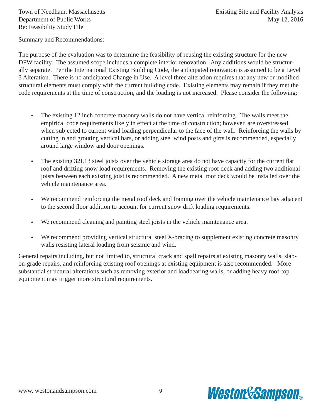## Summary and Recommendations:

The purpose of the evaluation was to determine the feasibility of reusing the existing structure for the new DPW facility. The assumed scope includes a complete interior renovation. Any additions would be structurally separate. Per the International Existing Building Code, the anticipated renovation is assumed to be a Level 3 Alteration. There is no anticipated Change in Use. A level three alteration requires that any new or modified structural elements must comply with the current building code. Existing elements may remain if they met the code requirements at the time of construction, and the loading is not increased. Please consider the following:

- The existing 12 inch concrete masonry walls do not have vertical reinforcing. The walls meet the empirical code requirements likely in effect at the time of construction; however, are overstressed when subjected to current wind loading perpendicular to the face of the wall. Reinforcing the walls by cutting in and grouting vertical bars, or adding steel wind posts and girts is recommended, especially around large window and door openings. •
- The existing 32L13 steel joists over the vehicle storage area do not have capacity for the current flat roof and drifting snow load requirements. Removing the existing roof deck and adding two additional joists between each existing joist is recommended. A new metal roof deck would be installed over the vehicle maintenance area.
- We recommend reinforcing the metal roof deck and framing over the vehicle maintenance bay adjacent to the second floor addition to account for current snow drift loading requirements.
- We recommend cleaning and painting steel joists in the vehicle maintenance area. •
- We recommend providing vertical structural steel X-bracing to supplement existing concrete masonry •walls resisting lateral loading from seismic and wind.

General repairs including, but not limited to, structural crack and spall repairs at existing masonry walls, slabon-grade repairs, and reinforcing existing roof openings at existing equipment is also recommended. More substantial structural alterations such as removing exterior and loadbearing walls, or adding heavy roof-top equipment may trigger more structural requirements.

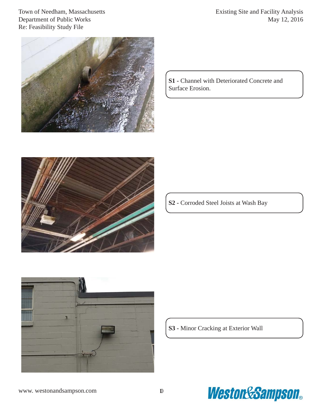

Existing Site and Facility Analysis May 12, 2016

**S1 -** Channel with Deteriorated Concrete and Surface Erosion.



**S2 -** Corroded Steel Joists at Wash Bay



**S3 -** Minor Cracking at Exterior Wall